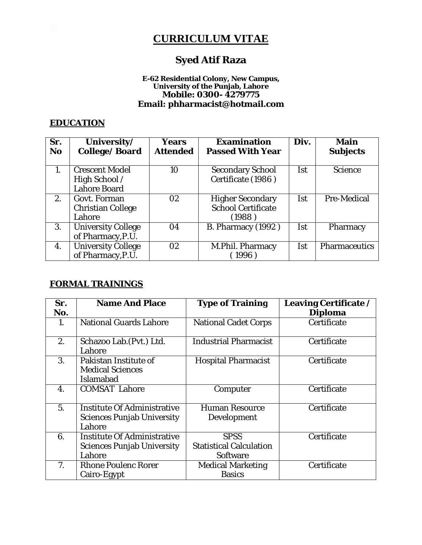# **CURRICULUM VITAE**

# **Syed Atif Raza**

#### **E-62 Residential Colony, New Campus, University of the Punjab, Lahore Mobile: 0300- 4279775 Email: phharmacist@hotmail.com**

### **EDUCATION**

| Sr.<br><b>No</b> | University/<br><b>College/Board</b>                    | Years<br><b>Attended</b> | <b>Examination</b><br><b>Passed With Year</b>                   | Div.       | <b>Main</b><br><b>Subjects</b> |
|------------------|--------------------------------------------------------|--------------------------|-----------------------------------------------------------------|------------|--------------------------------|
| $\mathbf{1}$ .   | <b>Crescent Model</b><br>High School /<br>Lahore Board | 10                       | Secondary School<br>Certificate (1986)                          | Ist        | Science                        |
| 2.               | Govt. Forman<br>Christian College<br>Lahore            | 02                       | <b>Higher Secondary</b><br><b>School Certificate</b><br>(1988 ) | Ist        | Pre-Medical                    |
| 3.               | <b>University College</b><br>of Pharmacy, P.U.         | 04                       | <b>B. Pharmacy (1992)</b>                                       | <b>Ist</b> | Pharmacy                       |
| 4.               | <b>University College</b><br>of Pharmacy, P.U.         | 02                       | M.Phil. Pharmacy<br>1996)                                       | Ist        | Pharmaceutics                  |

### **FORMAL TRAININGS**

| Sr.<br>No.     | <b>Name And Place</b>                                                      | <b>Type of Training</b>                                   | Leaving Certificate /<br><b>Diploma</b> |
|----------------|----------------------------------------------------------------------------|-----------------------------------------------------------|-----------------------------------------|
| 1.             | <b>National Guards Lahore</b>                                              | <b>National Cadet Corps</b>                               | Certificate                             |
| 2.             | Schazoo Lab.(Pvt.) Ltd.<br>Lahore                                          | <b>Industrial Pharmacist</b>                              | Certificate                             |
| 3.             | Pakistan Institute of<br><b>Medical Sciences</b><br><b>Islamabad</b>       | <b>Hospital Pharmacist</b>                                | Certificate                             |
| 4.             | <b>COMSAT Lahore</b>                                                       | Computer                                                  | Certificate                             |
| 5.             | Institute Of Administrative<br><b>Sciences Punjab University</b><br>Lahore | <b>Human Resource</b><br>Development                      | Certificate                             |
| 6.             | Institute Of Administrative<br><b>Sciences Punjab University</b><br>Lahore | <b>SPSS</b><br><b>Statistical Calculation</b><br>Software | Certificate                             |
| 7 <sub>1</sub> | Rhone Poulenc Rorer<br>Cairo-Egypt                                         | <b>Medical Marketing</b><br><b>Basics</b>                 | Certificate                             |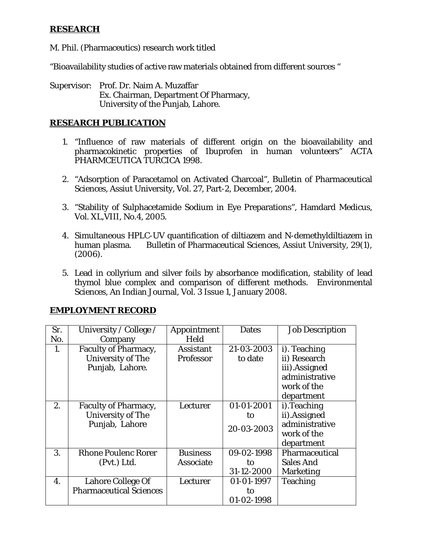### **RESEARCH**

M. Phil. (Pharmaceutics) research work titled

"Bioavailability studies of active raw materials obtained from different sources "

Supervisor: Prof. Dr. Naim A. Muzaffar Ex. Chairman, Department Of Pharmacy, University of the Punjab, Lahore.

### **RESEARCH PUBLICATION**

- 1. "Influence of raw materials of different origin on the bioavailability and pharmacokinetic properties of Ibuprofen in human volunteers" ACTA PHARMCEUTICA TURCICA 1998.
- 2. "Adsorption of Paracetamol on Activated Charcoal", Bulletin of Pharmaceutical Sciences, Assiut University, Vol. 27, Part-2, December, 2004.
- 3. "Stability of Sulphacetamide Sodium in Eye Preparations", Hamdard Medicus, Vol. XL,VIII, No.4, 2005.
- 4. Simultaneous HPLC-UV quantification of diltiazem and N-demethyldiltiazem in human plasma. Bulletin of Pharmaceutical Sciences, Assiut University, 29(1), (2006).
- 5. Lead in collyrium and silver foils by absorbance modification, stability of lead thymol blue complex and comparison of different methods. Environmental Sciences, An Indian Journal, Vol. 3 Issue 1, January 2008.

### **EMPLOYMENT RECORD**

| Sr. | University / College /         | Appointment     | <b>Dates</b> | Job Description |
|-----|--------------------------------|-----------------|--------------|-----------------|
| No. | Company                        | Held            |              |                 |
| 1.  | Faculty of Pharmacy,           | Assistant       | 21-03-2003   | i). Teaching    |
|     | University of The              | Professor       | to date      | ii) Research    |
|     | Punjab, Lahore.                |                 |              | iii).Assigned   |
|     |                                |                 |              | administrative  |
|     |                                |                 |              | work of the     |
|     |                                |                 |              | department      |
| 2.  | Faculty of Pharmacy,           | Lecturer        | 01-01-2001   | i). Teaching    |
|     | University of The              |                 | to           | ii).Assigned    |
|     | Punjab, Lahore                 |                 | 20-03-2003   | administrative  |
|     |                                |                 |              | work of the     |
|     |                                |                 |              | department      |
| 3.  | <b>Rhone Poulenc Rorer</b>     | <b>Business</b> | 09-02-1998   | Pharmaceutical  |
|     | (Pvt.) Ltd.                    | Associate       | to           | Sales And       |
|     |                                |                 | 31-12-2000   | Marketing       |
| 4.  | Lahore College Of              | Lecturer        | 01-01-1997   | Teaching        |
|     | <b>Pharmaceutical Sciences</b> |                 | to           |                 |
|     |                                |                 | 01-02-1998   |                 |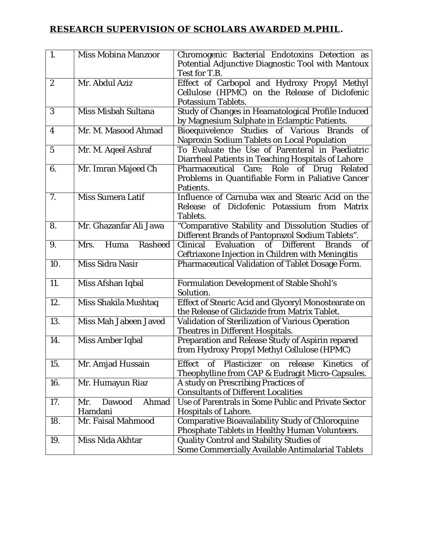# **RESEARCH SUPERVISION OF SCHOLARS AWARDED M.PHIL.**

| 1.  | Miss Mobina Manzoor               | Chromogenic Bacterial Endotoxins Detection as<br>Potential Adjunctive Diagnostic Tool with Mantoux                                     |
|-----|-----------------------------------|----------------------------------------------------------------------------------------------------------------------------------------|
|     |                                   | Test for T.B.                                                                                                                          |
| 2   | Mr. Abdul Aziz                    | Effect of Carbopol and Hydroxy Propyl Methyl<br>Cellulose (HPMC) on the Release of Diclofenic<br>Potassium Tablets.                    |
| 3   | Miss Misbah Sultana               | Study of Changes in Heamatological Profile Induced                                                                                     |
|     |                                   | by Magnesium Sulphate in Eclamptic Patients.                                                                                           |
| 4   | Mr. M. Masood Ahmad               | Bioequivelence Studies of Various<br>of<br>Brands<br>Naproxin Sodium Tablets on Local Population                                       |
| 5   | Mr. M. Aqeel Ashraf               | To Evaluate the Use of Parenteral in Paediatric                                                                                        |
|     |                                   | Diarrheal Patients in Teaching Hospitals of Lahore                                                                                     |
| 6.  | Mr. Imran Majeed Ch               | Pharmaceutical Care; Role<br>of Drug<br>Related<br>Problems in Quantifiable Form in Paliative Cancer<br>Patients.                      |
| 7.  | Miss Sumera Latif                 | Influence of Carnuba wax and Stearic Acid on the<br>Diclofenic Potassium from<br>Release<br>$\mathsf{of}$<br><b>Matrix</b><br>Tablets. |
| 8.  | Mr. Ghazanfar Ali Jawa            | "Comparative Stability and Dissolution Studies of<br>Different Brands of Pantoprazol Sodium Tablets".                                  |
| 9.  | Huma<br>Rasheed<br>Mrs.           | of<br><b>Different</b><br>Clinical<br>Evaluation<br><b>Brands</b><br>0f<br>Ceftriaxone Injection in Children with Meningitis           |
| 10. | Miss Sidra Nasir                  | Pharmaceutical Validation of Tablet Dosage Form.                                                                                       |
| 11. | Miss Afshan Iqbal                 | Formulation Development of Stable Shohl's<br>Solution.                                                                                 |
| 12. | Miss Shakila Mushtaq              | Effect of Stearic Acid and Glyceryl Monostearate on<br>the Release of Gliclazide from Matrix Tablet.                                   |
| 13. | Miss Mah Jabeen Javed             | Validation of Sterilization of Various Operation<br>Theatres in Different Hospitals.                                                   |
| 14. | Miss Amber Iqbal                  | Preparation and Release Study of Aspirin repared<br>from Hydroxy Propyl Methyl Cellulose (HPMC)                                        |
| 15. | Mr. Amjad Hussain                 | of Plasticizer on<br>release<br>Kinetics of<br>Effect<br>Theophylline from CAP & Eudragit Micro-Capsules.                              |
| 16. | Mr. Humayun Riaz                  | A study on Prescribing Practices of<br><b>Consultants of Different Localities</b>                                                      |
| 17. | Ahmad<br>Dawood<br>Mr.<br>Hamdani | Use of Parentrals in Some Public and Private Sector<br>Hospitals of Lahore.                                                            |
| 18. | Mr. Faisal Mahmood                | Comparative Bioavailability Study of Chloroquine<br>Phosphate Tablets in Healthy Human Volunteers.                                     |
| 19. | Miss Nida Akhtar                  | Quality Control and Stability Studies of<br>Some Commercially Available Antimalarial Tablets                                           |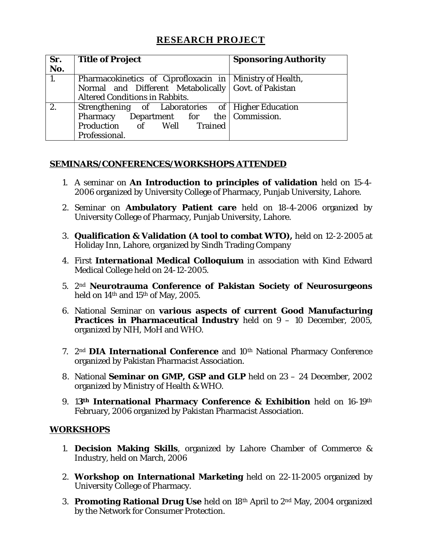## **RESEARCH PROJECT**

| Sr.<br>No. | <b>Title of Project</b>                                    | <b>Sponsoring Authority</b> |
|------------|------------------------------------------------------------|-----------------------------|
| 1.         | Pharmacokinetics of Ciprofloxacin in   Ministry of Health, |                             |
|            | Normal and Different Metabolically Govt. of Pakistan       |                             |
|            | Altered Conditions in Rabbits.                             |                             |
| 2.         | Strengthening of Laboratories of Higher Education          |                             |
|            | Pharmacy Department for the Commission.                    |                             |
|            | Production of Well Trained                                 |                             |
|            | Professional.                                              |                             |

### **SEMINARS/CONFERENCES/WORKSHOPS ATTENDED**

- 1. A seminar on **An Introduction to principles of validation** held on 15-4- 2006 organized by University College of Pharmacy, Punjab University, Lahore.
- 2. Seminar on **Ambulatory Patient care** held on 18-4-2006 organized by University College of Pharmacy, Punjab University, Lahore.
- 3. **Qualification & Validation (A tool to combat WTO),** held on 12-2-2005 at Holiday Inn, Lahore, organized by Sindh Trading Company
- 4. First **International Medical Colloquium** in association with Kind Edward Medical College held on 24-12-2005.
- 5. 2nd **Neurotrauma Conference of Pakistan Society of Neurosurgeons** held on 14th and 15th of May, 2005.
- 6. National Seminar on **various aspects of current Good Manufacturing Practices in Pharmaceutical Industry** held on 9 – 10 December, 2005, organized by NIH, MoH and WHO.
- 7. 2<sup>nd</sup> **DIA International Conference** and 10<sup>th</sup> National Pharmacy Conference organized by Pakistan Pharmacist Association.
- 8. National **Seminar on GMP, GSP and GLP** held on 23 24 December, 2002 organized by Ministry of Health & WHO.
- 9. 1**3th International Pharmacy Conference & Exhibition** held on 16-19th February, 2006 organized by Pakistan Pharmacist Association.

### **WORKSHOPS**

- 1. **Decision Making Skills**, organized by Lahore Chamber of Commerce & Industry, held on March, 2006
- 2. **Workshop on International Marketing** held on 22-11-2005 organized by University College of Pharmacy.
- 3. **Promoting Rational Drug Use** held on 18th April to 2nd May, 2004 organized by the Network for Consumer Protection.